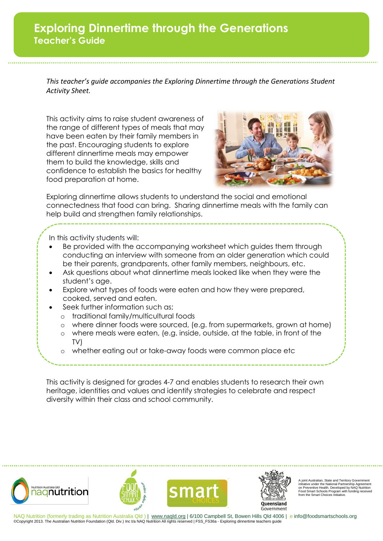## **Exploring Dinnertime through the Generations Teacher's Guide**

*This teacher's guide accompanies the Exploring Dinnertime through the Generations Student Activity Sheet.*

This activity aims to raise student awareness of the range of different types of meals that may have been eaten by their family members in the past. Encouraging students to explore different dinnertime meals may empower them to build the knowledge, skills and confidence to establish the basics for healthy food preparation at home.



Exploring dinnertime allows students to understand the social and emotional connectedness that food can bring. Sharing dinnertime meals with the family can help build and strengthen family relationships.

In this activity students will:

- Be provided with the accompanying worksheet which guides them through conducting an interview with someone from an older generation which could be their parents, grandparents, other family members, neighbours, etc.
- Ask questions about what dinnertime meals looked like when they were the student's age.
- Explore what types of foods were eaten and how they were prepared, cooked, served and eaten.
- Seek further information such as;
	- o traditional family/multicultural foods
	- o where dinner foods were sourced, (e.g. from supermarkets, grown at home)
	- o where meals were eaten, (e.g. inside, outside, at the table, in front of the TV)
	- whether eating out or take-away foods were common place etc

This activity is designed for grades 4-7 and enables students to research their own heritage, identities and values and identify strategies to celebrate and respect diversity within their class and school community.



A joint Australian, State and Territory Government initiative under the National Partnership Agreement on Preventive Health. Developed by NAQ Nutrition Food Smart Schools Program with funding received from the Smart Choices Initiative.

NAQ Nutrition (formerly trading as Nutrition Australia Qld ) | www.nagld.org | 6/100 Campbell St, Bowen Hills Qld 4006 | e info@foodsmartschools.org ©Copyright 2013. The Australian Nutrition Foundation (Qld. Div.) Inc t/a NAQ Nutrition All rights reserved | FSS\_FS36a - Exploring dinnertime teachers guide